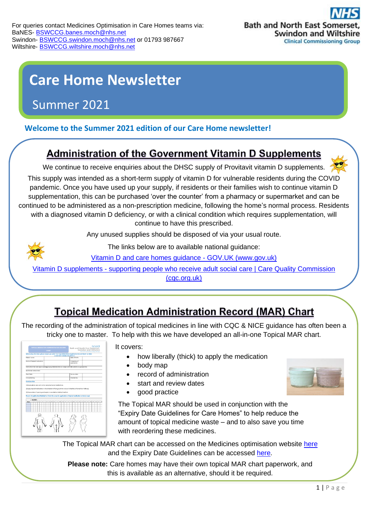# **Care Home Newsletter**

# Summer 2021

### **Welcome to the Summer 2021 edition of our Care Home newsletter!**

# **Administration of the Government Vitamin D Supplements**

We continue to receive enquiries about the DHSC supply of Provitavit vitamin D supplements.

This supply was intended as a short-term supply of vitamin D for vulnerable residents during the CO[VID](https://thecuppajo.blogspot.com/2011_05_01_archive.html)  pandemic. Once you have used up your supply, if residents or their families wish to continue vitamin [D](https://thecuppajo.blogspot.com/2011_05_01_archive.html)  supplementation, this can be purchased 'over the counter' from a pharmacy or supermarket and can [be](https://thecuppajo.blogspot.com/2011_05_01_archive.html)  continued to be administered as a non-prescription medicine, following the home's normal process. Residents with a diagnosed vitamin D deficiency, or with a clinical condition which requires supplementation, will continue to have this prescribed.

Any unused supplies should be disposed of via your usual route.



The links below are to available national guidance:

[Vitamin D and care homes guidance -](https://www.gov.uk/government/publications/vitamin-d-for-vulnerable-groups/vitamin-d-and-care-homes-guidance) GOV.UK (www.gov.uk)

[Vita](https://thecuppajo.blogspot.com/2011_05_01_archive.html)min D supplements - [supporting people who receive adult social care | Care Quality Commission](https://www.cqc.org.uk/guidance-providers/adult-social-care/vitamin-d-supplements-supporting-people-who-receive-adult)  [\(cqc.org.uk\)](https://www.cqc.org.uk/guidance-providers/adult-social-care/vitamin-d-supplements-supporting-people-who-receive-adult)

# **Topical Medication Administration Record (MAR) Chart**

The recording of the administration of topical medicines in line with CQC & NICE guidance has often b[een a](https://creativecommons.org/licenses/by-nd/3.0/) tricky one to master. To help with this we have developed an all-in-one Topical MAR chart.

|                             | TOPICAL MEDICATION ADMINISTRATION RECORD<br><b>CHART</b> |              |  |  |  |  |                                                                                                                                                                                 |  |  | Bath and North East Somerset.<br>Swindon and Wiltshire<br>dean Groups<br>Philadelphia Pres |              |                              |  |  |  |  |  |  |  |
|-----------------------------|----------------------------------------------------------|--------------|--|--|--|--|---------------------------------------------------------------------------------------------------------------------------------------------------------------------------------|--|--|--------------------------------------------------------------------------------------------|--------------|------------------------------|--|--|--|--|--|--|--|
|                             |                                                          |              |  |  |  |  | When using this chart, please ensure you write 'see Topical Medicines Application Record Sheet' on MAR.                                                                         |  |  | 44+DO NOT DOUBLE RECORD+++                                                                 |              |                              |  |  |  |  |  |  |  |
| <b>Publicat current</b>     |                                                          |              |  |  |  |  |                                                                                                                                                                                 |  |  |                                                                                            |              | Date of Births               |  |  |  |  |  |  |  |
| Name of topical medication: |                                                          |              |  |  |  |  |                                                                                                                                                                                 |  |  |                                                                                            |              | Frequency of<br>application: |  |  |  |  |  |  |  |
|                             |                                                          |              |  |  |  |  | leatructions for use: Apply sparingful apply liberation as a spap substitute idelete as appropriate).                                                                           |  |  |                                                                                            |              |                              |  |  |  |  |  |  |  |
| Additional instructions:    |                                                          |              |  |  |  |  |                                                                                                                                                                                 |  |  |                                                                                            |              |                              |  |  |  |  |  |  |  |
| Start Date:                 |                                                          |              |  |  |  |  |                                                                                                                                                                                 |  |  |                                                                                            | Review date: |                              |  |  |  |  |  |  |  |
| Completed by:               |                                                          |              |  |  |  |  |                                                                                                                                                                                 |  |  |                                                                                            |              | Checked by:                  |  |  |  |  |  |  |  |
| Good practice               |                                                          |              |  |  |  |  |                                                                                                                                                                                 |  |  |                                                                                            |              |                              |  |  |  |  |  |  |  |
|                             |                                                          |              |  |  |  |  | ZiApply topical medications in the direction of hair growth to reduce followitts (inflamed hair follicies)                                                                      |  |  |                                                                                            |              |                              |  |  |  |  |  |  |  |
|                             |                                                          |              |  |  |  |  | 3) Ensure date of coening and expiry is recorded on bottle/tube/tub.<br>Record of application (Highlight or Circle the areas for application of topical medication on body map) |  |  |                                                                                            |              |                              |  |  |  |  |  |  |  |
| Time                        |                                                          | <b>MONTH</b> |  |  |  |  | siziale is le iziale i se izsizzi zai se izsizale i zai zai zai zai zai zai zai zai zai                                                                                         |  |  |                                                                                            |              |                              |  |  |  |  |  |  |  |
|                             |                                                          |              |  |  |  |  |                                                                                                                                                                                 |  |  |                                                                                            |              |                              |  |  |  |  |  |  |  |

It covers:

- how liberally (thick) to apply the medication
- body map
- record of administration
- start and review dates
- good practice



The Topical MAR should be used in conjunction with the "Expiry Date Guidelines for Care Homes" to help reduce the amount of topical medicine waste – and to also save you [time](https://creativecommons.org/licenses/by-nc/3.0/)  with reordering these medicines.

The Topical MAR chart can be accessed on the Medicines optimisation website [here](https://prescribing.bswccg.nhs.uk/?wpdmdl=8713) and the Expiry Date Guidelines can be accessed [here.](file:///C:/Users/sc028/Downloads/Expiry%20date%20guidelines-revised2%20(1).pdf)

**Please note:** Care homes may have their own topical MAR chart paperwork, and this is available as an alternative, should it be required.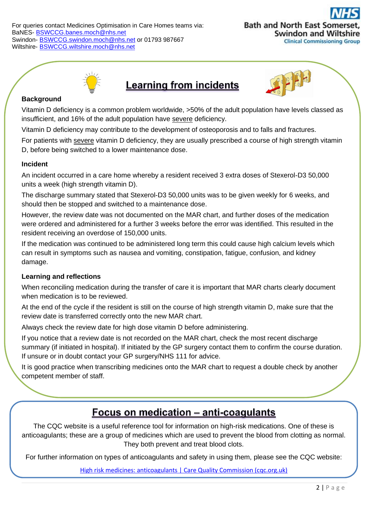For queries contact Medicines Optimisation in Care Homes teams via: BaNES- [BSWCCG.banes.moch@nhs.net](mailto:BSWCCG.banes.moch@nhs.net) Swindon- [BSWCCG.swindon.moch@nhs.net](mailto:BSWCCG.swindon.moch@nhs.net) or 01793 987667 Wiltshire- [BSWCCG.wiltshire.moch@nhs.net](mailto:BSWCCG.wiltshire.moch@nhs.net)





### **Learning from incidents**



#### **Background**

Vitamin D deficiency is a common problem worldwide, >50% of the adult population have levels classed as insufficient, and 16% of the adult population have severe deficiency.

Vitamin D deficiency may contribute to the development of osteoporosis and to falls and fractures.

For patients with severe vitamin D deficiency, they are usually prescribed a course of high strength vitamin D, before being switched to a lower maintenance dose.

#### **Incident**

An incident occurred in a care home whereby a resident received 3 extra doses of Stexerol-D3 50,000 units a week (high strength vitamin D).

The discharge summary stated that Stexerol-D3 50,000 units was to be given weekly for 6 weeks, and should then be stopped and switched to a maintenance dose.

However, the review date was not documented on the MAR chart, and further doses of the medication were ordered and administered for a further 3 weeks before the error was identified. This resulted in the resident receiving an overdose of 150,000 units.

If the medication was continued to be administered long term this could cause high calcium levels which can result in symptoms such as nausea and vomiting, constipation, fatigue, confusion, and kidney damage.

### **Learning and reflections**

When reconciling medication during the transfer of care it is important that MAR charts clearly document when medication is to be reviewed.

At the end of the cycle if the resident is still on the course of high strength vitamin D, make sure that the review date is transferred correctly onto the new MAR chart.

Always check the review date for high dose vitamin D before administering.

If you notice that a review date is not recorded on the MAR chart, check the most recent discharge summary (if initiated in hospital). If initiated by the GP surgery contact them to confirm the course duration. If unsure or in doubt contact your GP surgery/NHS 111 for advice.

It is good practice when transcribing medicines onto the MAR chart to request a double check by another competent member of staff.

### Focus on medication - anti-coagulants

The CQC website is a useful reference tool for information on high-risk medications. One of these is anticoagulants; these are a group of medicines which are used to prevent the blood from clotting as normal. They both prevent and treat blood clots.

For further information on types of anticoagulants and safety in using them, please see the CQC website:

[High risk medicines: anticoagulants | Care Quality Commission \(cqc.org.uk\)](https://www.cqc.org.uk/guidance-providers/adult-social-care/high-risk-medicines-anticoagulants)